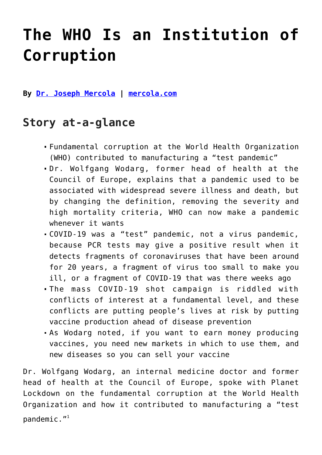# **[The WHO Is an Institution of](https://consciouslifenews.com/the-who-is-an-institution-of-corruption/11209757/) [Corruption](https://consciouslifenews.com/the-who-is-an-institution-of-corruption/11209757/)**

**By [Dr. Joseph Mercola](https://www.mercola.com/forms/background.htm) | [mercola.com](https://articles.mercola.com/sites/articles/archive/2021/11/24/who-institution-of-corruption.aspx)**

### **Story at-a-glance**

- Fundamental corruption at the World Health Organization (WHO) contributed to manufacturing a "test pandemic"
- Dr. Wolfgang Wodarg, former head of health at the Council of Europe, explains that a pandemic used to be associated with widespread severe illness and death, but by changing the definition, removing the severity and high mortality criteria, WHO can now make a pandemic whenever it wants
- COVID-19 was a "test" pandemic, not a virus pandemic, because PCR tests may give a positive result when it detects fragments of coronaviruses that have been around for 20 years, a fragment of virus too small to make you ill, or a fragment of COVID-19 that was there weeks ago
- The mass COVID-19 shot campaign is riddled with conflicts of interest at a fundamental level, and these conflicts are putting people's lives at risk by putting vaccine production ahead of disease prevention
- As Wodarg noted, if you want to earn money producing vaccines, you need new markets in which to use them, and new diseases so you can sell your vaccine

Dr. Wolfgang Wodarg, an internal medicine doctor and former head of health at the Council of Europe, spoke with Planet Lockdown on the fundamental corruption at the World Health Organization and how it contributed to manufacturing a "test pandemic. $"$ <sup>1</sup>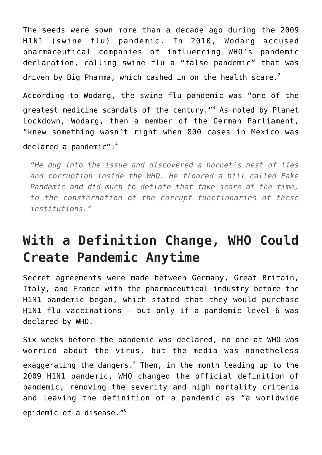The seeds were sown more than a decade ago during the 2009 H1N1 (swine flu) pandemic. In 2010, Wodarg accused pharmaceutical companies of influencing WHO's pandemic declaration, calling swine flu a "false pandemic" that was driven by Big Pharma, which cashed in on the health scare. $^2$ 

According to Wodarg, the swine flu pandemic was "one of the greatest medicine scandals of the century."<sup>3</sup> As noted by Planet Lockdown, Wodarg, then a member of the German Parliament, "knew something wasn't right when 800 cases in Mexico was declared a pandemic": $4$ 

*"He dug into the issue and discovered a hornet's nest of lies and corruption inside the WHO. He floored a bill called Fake Pandemic and did much to deflate that fake scare at the time, to the consternation of the corrupt functionaries of these institutions."*

## **With a Definition Change, WHO Could Create Pandemic Anytime**

Secret agreements were made between Germany, Great Britain, Italy, and France with the pharmaceutical industry before the H1N1 pandemic began, which stated that they would purchase H1N1 flu vaccinations — but only if a pandemic level 6 was declared by WHO.

Six weeks before the pandemic was declared, no one at WHO was worried about the virus, but the media was nonetheless exaggerating the dangers.<sup>5</sup> Then, in the month leading up to the 2009 H1N1 pandemic, WHO changed the official definition of pandemic, removing the severity and high mortality criteria and leaving the definition of a pandemic as "a worldwide epidemic of a disease."<sup>6</sup>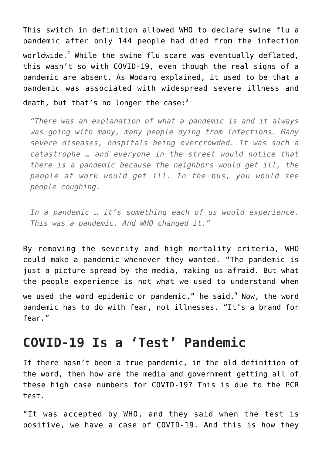This switch in definition allowed WHO to declare swine flu a pandemic after only 144 people had died from the infection worldwide. $^7$  While the swine flu scare was eventually deflated, this wasn't so with COVID-19, even though the real signs of a pandemic are absent. As Wodarg explained, it used to be that a pandemic was associated with widespread severe illness and death, but that's no longer the case:<sup>8</sup>

*"There was an explanation of what a pandemic is and it always was going with many, many people dying from infections. Many severe diseases, hospitals being overcrowded. It was such a catastrophe … and everyone in the street would notice that there is a pandemic because the neighbors would get ill, the people at work would get ill. In the bus, you would see people coughing.*

*In a pandemic … it's something each of us would experience. This was a pandemic. And WHO changed it."*

By removing the severity and high mortality criteria, WHO could make a pandemic whenever they wanted. "The pandemic is just a picture spread by the media, making us afraid. But what the people experience is not what we used to understand when

we used the word epidemic or pandemic," he said. $^{\circ}$  Now, the word pandemic has to do with fear, not illnesses. "It's a brand for fear."

## **COVID-19 Is a 'Test' Pandemic**

If there hasn't been a true pandemic, in the old definition of the word, then how are the media and government getting all of these high case numbers for COVID-19? This is due to the PCR test.

"It was accepted by WHO, and they said when the test is positive, we have a case of COVID-19. And this is how they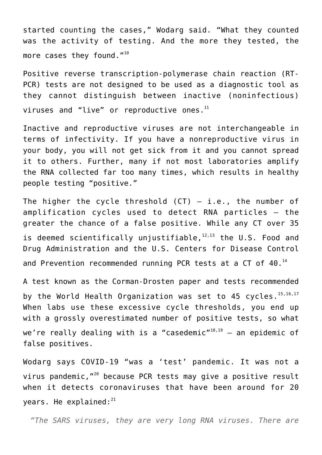started counting the cases," Wodarg said. "What they counted was the activity of testing. And the more they tested, the more cases they found."<sup>10</sup>

Positive reverse transcription-polymerase chain reaction (RT-PCR) tests are not designed to be used as a diagnostic tool as they cannot distinguish between inactive (noninfectious) viruses and "live" or reproductive ones. $^{11}$ 

Inactive and reproductive viruses are not interchangeable in terms of infectivity. If you have a nonreproductive virus in your body, you will not get sick from it and you cannot spread it to others. Further, many if not most laboratories amplify the RNA collected far too many times, which results in healthy people testing "positive."

The higher the cycle threshold  $(CT) - i.e.,$  the number of amplification cycles used to detect RNA particles — the greater the chance of a false positive. While any CT over 35 is deemed scientifically unjustifiable, $12,13$  the U.S. Food and Drug Administration and the U.S. Centers for Disease Control and Prevention recommended running PCR tests at a CT of 40.<sup>14</sup>

A test known as the Corman-Drosten paper and tests recommended by the World Health Organization was set to 45 cycles.<sup>15,16,17</sup> When labs use these excessive cycle thresholds, you end up with a grossly overestimated number of positive tests, so what we're really dealing with is a "casedemic"<sup>18,19</sup> - an epidemic of false positives.

Wodarg says COVID-19 "was a 'test' pandemic. It was not a virus pandemic,"<sup>20</sup> because PCR tests may give a positive result when it detects coronaviruses that have been around for 20 years. He explained: $^{21}$ 

*"The SARS viruses, they are very long RNA viruses. There are*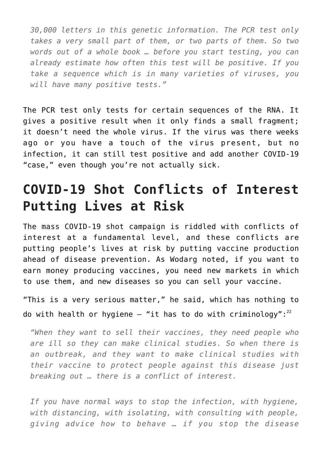*30,000 letters in this genetic information. The PCR test only takes a very small part of them, or two parts of them. So two words out of a whole book … before you start testing, you can already estimate how often this test will be positive. If you take a sequence which is in many varieties of viruses, you will have many positive tests."*

The PCR test only tests for certain sequences of the RNA. It gives a positive result when it only finds a small fragment; it doesn't need the whole virus. If the virus was there weeks ago or you have a touch of the virus present, but no infection, it can still test positive and add another COVID-19 "case," even though you're not actually sick.

## **COVID-19 Shot Conflicts of Interest Putting Lives at Risk**

The mass COVID-19 shot campaign is riddled with conflicts of interest at a fundamental level, and these conflicts are putting people's lives at risk by putting vaccine production ahead of disease prevention. As Wodarg noted, if you want to earn money producing vaccines, you need new markets in which to use them, and new diseases so you can sell your vaccine.

"This is a very serious matter," he said, which has nothing to do with health or hygiene  $-$  "it has to do with criminology": $^{22}$ 

*"When they want to sell their vaccines, they need people who are ill so they can make clinical studies. So when there is an outbreak, and they want to make clinical studies with their vaccine to protect people against this disease just breaking out … there is a conflict of interest.*

*If you have normal ways to stop the infection, with hygiene, with distancing, with isolating, with consulting with people, giving advice how to behave … if you stop the disease*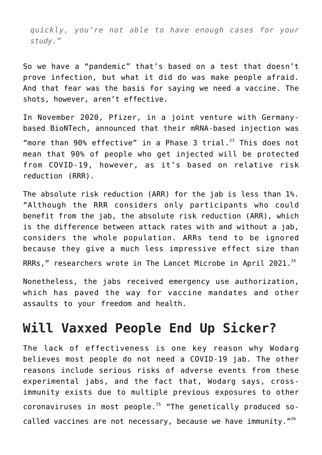*quickly, you're not able to have enough cases for your study."*

So we have a "pandemic" that's based on a test that doesn't prove infection, but what it did do was make people afraid. And that fear was the basis for saying we need a vaccine. The shots, however, aren't effective.

In November 2020, Pfizer, in a joint venture with Germanybased BioNTech, announced that their mRNA-based injection was "more than 90% effective" in a Phase 3 trial. $^{23}$  This does not mean that 90% of people who get injected will be protected from COVID-19, however, as it's based on relative risk reduction (RRR).

The absolute risk reduction (ARR) for the jab is less than 1%. "Although the RRR considers only participants who could benefit from the jab, the absolute risk reduction (ARR), which is the difference between attack rates with and without a jab, considers the whole population. ARRs tend to be ignored because they give a much less impressive effect size than RRRs," researchers wrote in The Lancet Microbe in April 2021. $^{24}$ 

Nonetheless, the jabs received emergency use authorization, which has paved the way for vaccine mandates and other assaults to your freedom and health.

## **Will Vaxxed People End Up Sicker?**

The lack of effectiveness is one key reason why Wodarg believes most people do not need a COVID-19 jab. The other reasons include serious risks of adverse events from these experimental jabs, and the fact that, Wodarg says, crossimmunity exists due to multiple previous exposures to other coronaviruses in most people.<sup>25</sup> "The genetically produced socalled vaccines are not necessary, because we have immunity."<sup>26</sup>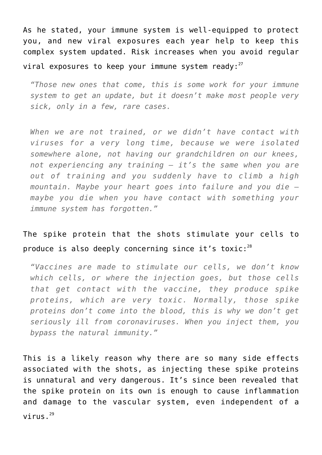As he stated, your immune system is well-equipped to protect you, and new viral exposures each year help to keep this complex system updated. Risk increases when you avoid regular viral exposures to keep your immune system ready: $27$ 

*"Those new ones that come, this is some work for your immune system to get an update, but it doesn't make most people very sick, only in a few, rare cases.*

*When we are not trained, or we didn't have contact with viruses for a very long time, because we were isolated somewhere alone, not having our grandchildren on our knees, not experiencing any training — it's the same when you are out of training and you suddenly have to climb a high mountain. Maybe your heart goes into failure and you die maybe you die when you have contact with something your immune system has forgotten."*

#### The spike protein that the shots stimulate your cells to produce is also deeply concerning since it's toxic: $^{28}$

*"Vaccines are made to stimulate our cells, we don't know which cells, or where the injection goes, but those cells that get contact with the vaccine, they produce spike proteins, which are very toxic. Normally, those spike proteins don't come into the blood, this is why we don't get seriously ill from coronaviruses. When you inject them, you bypass the natural immunity."*

This is a likely reason why there are so many side effects associated with the shots, as injecting these spike proteins is unnatural and very dangerous. It's since been revealed that the spike protein on its own is enough to cause inflammation and damage to the vascular system, even independent of a virus. $^{29}$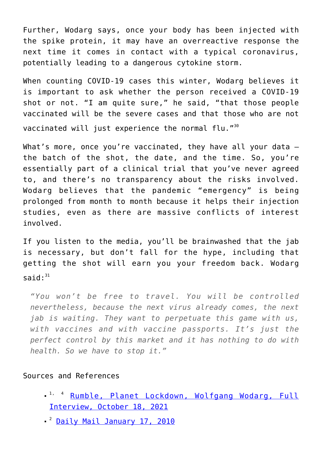Further, Wodarg says, once your body has been injected with the spike protein, it may have an overreactive response the next time it comes in contact with a typical coronavirus, potentially leading to a dangerous cytokine storm.

When counting COVID-19 cases this winter, Wodarg believes it is important to ask whether the person received a COVID-19 shot or not. "I am quite sure," he said, "that those people vaccinated will be the severe cases and that those who are not vaccinated will just experience the normal flu."<sup>30</sup>

What's more, once you're vaccinated, they have all your data the batch of the shot, the date, and the time. So, you're essentially part of a clinical trial that you've never agreed to, and there's no transparency about the risks involved. Wodarg believes that the pandemic "emergency" is being prolonged from month to month because it helps their injection studies, even as there are massive conflicts of interest involved.

If you listen to the media, you'll be brainwashed that the jab is necessary, but don't fall for the hype, including that getting the shot will earn you your freedom back. Wodarg said $\cdot$ <sup>31</sup>

*"You won't be free to travel. You will be controlled nevertheless, because the next virus already comes, the next jab is waiting. They want to perpetuate this game with us, with vaccines and with vaccine passports. It's just the perfect control by this market and it has nothing to do with health. So we have to stop it."*

#### Sources and References

- <sup>1, 4</sup> [Rumble, Planet Lockdown, Wolfgang Wodarg, Full](https://rumble.com/vnwzlh-wolfgang-wodarg-full-interview-planet-lockdown.html) [Interview, October 18, 2021](https://rumble.com/vnwzlh-wolfgang-wodarg-full-interview-planet-lockdown.html)
- <sup>2</sup> [Daily Mail January 17, 2010](https://www.dailymail.co.uk/news/article-1242147/The-false-pandemic-Drug-firms-cashed-scare-swine-flu-claims-Euro-health-chief.html)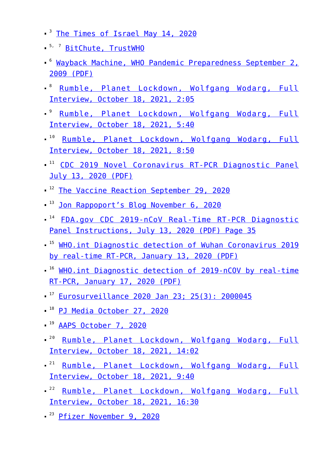- <sup>3</sup> [The Times of Israel May 14, 2020](https://blogs.timesofisrael.com/why-eu-investigated-who-for-fake-pandemic/)
- <sup>5, 7</sup> [BitChute, TrustWHO](https://www.bitchute.com/video/kEn3iVabHtao/)
- <sup>6</sup> [Wayback Machine, WHO Pandemic Preparedness September 2,](http://whale.to/vaccine/WHO2.pdf) [2009 \(PDF\)](http://whale.to/vaccine/WHO2.pdf)
- <sup>8</sup> [Rumble, Planet Lockdown, Wolfgang Wodarg, Full](https://rumble.com/vnwzlh-wolfgang-wodarg-full-interview-planet-lockdown.html) [Interview, October 18, 2021, 2:05](https://rumble.com/vnwzlh-wolfgang-wodarg-full-interview-planet-lockdown.html)
- <sup>9</sup> [Rumble, Planet Lockdown, Wolfgang Wodarg, Full](https://rumble.com/vnwzlh-wolfgang-wodarg-full-interview-planet-lockdown.html) [Interview, October 18, 2021, 5:40](https://rumble.com/vnwzlh-wolfgang-wodarg-full-interview-planet-lockdown.html)
- <sup>10</sup> [Rumble, Planet Lockdown, Wolfgang Wodarg, Full](https://rumble.com/vnwzlh-wolfgang-wodarg-full-interview-planet-lockdown.html) [Interview, October 18, 2021, 8:50](https://rumble.com/vnwzlh-wolfgang-wodarg-full-interview-planet-lockdown.html)
- <sup>11</sup> [CDC 2019 Novel Coronavirus RT-PCR Diagnostic Panel](https://www.fda.gov/media/134922/download) [July 13, 2020 \(PDF\)](https://www.fda.gov/media/134922/download)
- <sup>12</sup> [The Vaccine Reaction September 29, 2020](https://thevaccinereaction.org/2020/09/coronavirus-cases-plummet-when-pcr-tests-are-adjusted/)
- <sup>13</sup> [Jon Rappoport's Blog November 6, 2020](https://blog.nomorefakenews.com/2020/11/06/smoking-gun-fauci-states-covid-test-has-fatal-flaw/)
- $14$  [FDA.gov CDC 2019-nCoV Real-Time RT-PCR Diagnostic](https://www.fda.gov/media/134922/download) [Panel Instructions, July 13, 2020 \(PDF\) Page 35](https://www.fda.gov/media/134922/download)
- <sup>15</sup> [WHO.int Diagnostic detection of Wuhan Coronavirus 2019](https://www.who.int/docs/default-source/coronaviruse/wuhan-virus-assay-v1991527e5122341d99287a1b17c111902.pdf) [by real-time RT-PCR, January 13, 2020 \(PDF\)](https://www.who.int/docs/default-source/coronaviruse/wuhan-virus-assay-v1991527e5122341d99287a1b17c111902.pdf)
- <sup>16</sup> [WHO.int Diagnostic detection of 2019-nCOV by real-time](https://www.who.int/docs/default-source/coronaviruse/protocol-v2-1.pdf?sfvrsn=a9ef618c_2) [RT-PCR, January 17, 2020 \(PDF\)](https://www.who.int/docs/default-source/coronaviruse/protocol-v2-1.pdf?sfvrsn=a9ef618c_2)
- $17$  [Eurosurveillance 2020 Jan 23; 25\(3\): 2000045](https://www.ncbi.nlm.nih.gov/pmc/articles/PMC6988269/)
- $18$  [PJ Media October 27, 2020](https://pjmedia.com/columns/stacey-lennox/2020/10/27/prediction-joe-biden-would-manage-covid-19-in-one-of-two-ways-both-should-infuriate-you-n1092407)
- $19$  [AAPS October 7, 2020](https://aapsonline.org/covid-19-do-we-have-a-coronavirus-pandemic-or-a-pcr-test-pandemic/)
- <sup>20</sup> [Rumble, Planet Lockdown, Wolfgang Wodarg, Full](https://rumble.com/vnwzlh-wolfgang-wodarg-full-interview-planet-lockdown.html) [Interview, October 18, 2021, 14:02](https://rumble.com/vnwzlh-wolfgang-wodarg-full-interview-planet-lockdown.html)
- <sup>21</sup> [Rumble, Planet Lockdown, Wolfgang Wodarg, Full](https://rumble.com/vnwzlh-wolfgang-wodarg-full-interview-planet-lockdown.html) [Interview, October 18, 2021, 9:40](https://rumble.com/vnwzlh-wolfgang-wodarg-full-interview-planet-lockdown.html)
- <sup>22</sup> [Rumble, Planet Lockdown, Wolfgang Wodarg, Full](https://rumble.com/vnwzlh-wolfgang-wodarg-full-interview-planet-lockdown.html) [Interview, October 18, 2021, 16:30](https://rumble.com/vnwzlh-wolfgang-wodarg-full-interview-planet-lockdown.html)
- <sup>23</sup> [Pfizer November 9, 2020](https://www.pfizer.com/news/press-release/press-release-detail/pfizer-and-biontech-announce-vaccine-candidate-against)